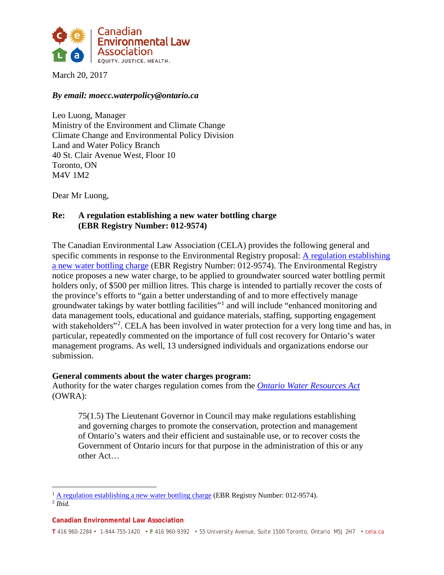

March 20, 2017

#### *By email: moecc.waterpolicy@ontario.ca*

Leo Luong, Manager Ministry of the Environment and Climate Change Climate Change and Environmental Policy Division Land and Water Policy Branch 40 St. Clair Avenue West, Floor 10 Toronto, ON M4V 1M2

Dear Mr Luong,

# **Re: A regulation establishing a new water bottling charge (EBR Registry Number: 012-9574)**

The Canadian Environmental Law Association (CELA) provides the following general and specific comments in response to the Environmental Registry proposal: [A regulation establishing](https://www.ebr.gov.on.ca/ERS-WEB-External/displaynoticecontent.do?noticeId=MTMxNTQw&statusId=MTk5NDkw&language=en)  [a new water bottling charge](https://www.ebr.gov.on.ca/ERS-WEB-External/displaynoticecontent.do?noticeId=MTMxNTQw&statusId=MTk5NDkw&language=en) (EBR Registry Number: 012-9574). The Environmental Registry notice proposes a new water charge, to be applied to groundwater sourced water bottling permit holders only, of \$500 per million litres. This charge is intended to partially recover the costs of the province's efforts to "gain a better understanding of and to more effectively manage groundwater takings by water bottling facilities"[1](#page-0-0) and will include "enhanced monitoring and data management tools, educational and guidance materials, staffing, supporting engagement with stakeholders"<sup>[2](#page-0-1)</sup>. CELA has been involved in water protection for a very long time and has, in particular, repeatedly commented on the importance of full cost recovery for Ontario's water management programs. As well, 13 undersigned individuals and organizations endorse our submission.

### **General comments about the water charges program:**

Authority for the water charges regulation comes from the *[Ontario Water Resources Act](https://www.ontario.ca/laws/statute/90o40)* (OWRA):

75(1.5) The Lieutenant Governor in Council may make regulations establishing and governing charges to promote the conservation, protection and management of Ontario's waters and their efficient and sustainable use, or to recover costs the Government of Ontario incurs for that purpose in the administration of this or any other Act…

**Canadian Environmental Law Association**

<span id="page-0-0"></span><sup>&</sup>lt;sup>1</sup> [A regulation establishing a new water bottling charge](https://www.ebr.gov.on.ca/ERS-WEB-External/displaynoticecontent.do?noticeId=MTMxNTQw&statusId=MTk5NDkw&language=en) (EBR Registry Number: 012-9574).

<span id="page-0-1"></span><sup>2</sup> *Ibid.*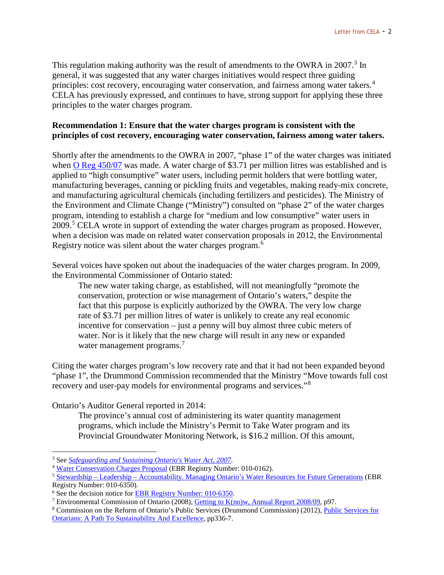This regulation making authority was the result of amendments to the OWRA in 2007.<sup>[3](#page-1-0)</sup> In general, it was suggested that any water charges initiatives would respect three guiding principles: cost recovery, encouraging water conservation, and fairness among water takers.<sup>[4](#page-1-1)</sup> CELA has previously expressed, and continues to have, strong support for applying these three principles to the water charges program.

## **Recommendation 1: Ensure that the water charges program is consistent with the principles of cost recovery, encouraging water conservation, fairness among water takers.**

Shortly after the amendments to the OWRA in 2007, "phase 1" of the water charges was initiated when [O Reg 450/07](https://www.ontario.ca/laws/regulation/070450) was made. A water charge of \$3.71 per million litres was established and is applied to "high consumptive" water users, including permit holders that were bottling water, manufacturing beverages, canning or pickling fruits and vegetables, making ready-mix concrete, and manufacturing agricultural chemicals (including fertilizers and pesticides). The Ministry of the Environment and Climate Change ("Ministry") consulted on "phase 2" of the water charges program, intending to establish a charge for "medium and low consumptive" water users in 2009.[5](#page-1-2) CELA wrote in support of extending the water charges program as proposed. However, when a decision was made on related water conservation proposals in 2012, the Environmental Registry notice was silent about the water charges program.[6](#page-1-3)

Several voices have spoken out about the inadequacies of the water charges program. In 2009, the Environmental Commissioner of Ontario stated:

The new water taking charge, as established, will not meaningfully "promote the conservation, protection or wise management of Ontario's waters," despite the fact that this purpose is explicitly authorized by the OWRA. The very low charge rate of \$3.71 per million litres of water is unlikely to create any real economic incentive for conservation – just a penny will buy almost three cubic meters of water. Nor is it likely that the new charge will result in any new or expanded water management programs.<sup>[7](#page-1-4)</sup>

Citing the water charges program's low recovery rate and that it had not been expanded beyond "phase 1", the Drummond Commission recommended that the Ministry "Move towards full cost recovery and user-pay models for environmental programs and services."[8](#page-1-5)

Ontario's Auditor General reported in 2014:

The province's annual cost of administering its water quantity management programs, which include the Ministry's Permit to Take Water program and its Provincial Groundwater Monitoring Network, is \$16.2 million. Of this amount,

<span id="page-1-0"></span> <sup>3</sup> See *[Safeguarding and Sustaining Ontario's Water Act, 2007](https://www.ontario.ca/laws/statute/s07012)*.

<span id="page-1-1"></span><sup>&</sup>lt;sup>4</sup> [Water Conservation Charges Proposal](https://www.ebr.gov.on.ca/ERS-WEB-External/displaynoticecontent.do?noticeId=MTAwMTYy&statusId=MTQ5NTgz) (EBR Registry Number: 010-0162).

<span id="page-1-2"></span><sup>5</sup> Stewardship – Leadership – [Accountability. Managing Ontario's Water Resources for Future Generations](https://www.ebr.gov.on.ca/ERS-WEB-External/displaynoticecontent.do?noticeId=MTA2Mjcx&statusId=MTU5Mzc3) (EBR Registry Number: 010-6350).

<span id="page-1-3"></span><sup>6</sup> See the decision notice for [EBR Registry Number:](https://www.ebr.gov.on.ca/ERS-WEB-External/displaynoticecontent.do?noticeId=MTA2Mjcx&statusId=MTY3MDA3&language=en) 010-6350.

<span id="page-1-4"></span><sup>7</sup> Environmental Commission of Ontario (2008), [Getting to K\(no\)w, Annual Report 2008/09,](http://docs.assets.eco.on.ca/reports/environmental-protection/2007-2008/2007-08-AR.pdf) p97.

<span id="page-1-5"></span><sup>8</sup> Commission on the Reform of Ontario's Public Services (Drummond Commission) (2012)[, Public Services for](http://www.fin.gov.on.ca/en/reformcommission/chapters/report.pdf)  [Ontarians: A Path To Sustainability And Excellence,](http://www.fin.gov.on.ca/en/reformcommission/chapters/report.pdf) pp336-7.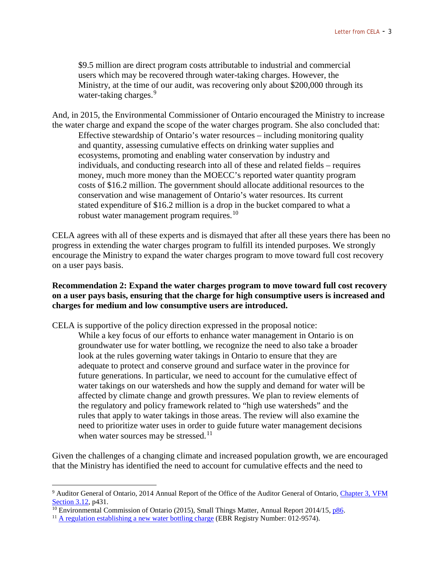\$9.5 million are direct program costs attributable to industrial and commercial users which may be recovered through water-taking charges. However, the Ministry, at the time of our audit, was recovering only about \$200,000 through its water-taking charges.<sup>[9](#page-2-0)</sup>

And, in 2015, the Environmental Commissioner of Ontario encouraged the Ministry to increase the water charge and expand the scope of the water charges program. She also concluded that: Effective stewardship of Ontario's water resources – including monitoring quality and quantity, assessing cumulative effects on drinking water supplies and ecosystems, promoting and enabling water conservation by industry and individuals, and conducting research into all of these and related fields – requires money, much more money than the MOECC's reported water quantity program costs of \$16.2 million. The government should allocate additional resources to the conservation and wise management of Ontario's water resources. Its current stated expenditure of \$16.2 million is a drop in the bucket compared to what a robust water management program requires.<sup>[10](#page-2-1)</sup>

CELA agrees with all of these experts and is dismayed that after all these years there has been no progress in extending the water charges program to fulfill its intended purposes. We strongly encourage the Ministry to expand the water charges program to move toward full cost recovery on a user pays basis.

## **Recommendation 2: Expand the water charges program to move toward full cost recovery on a user pays basis, ensuring that the charge for high consumptive users is increased and charges for medium and low consumptive users are introduced.**

CELA is supportive of the policy direction expressed in the proposal notice:

While a key focus of our efforts to enhance water management in Ontario is on groundwater use for water bottling, we recognize the need to also take a broader look at the rules governing water takings in Ontario to ensure that they are adequate to protect and conserve ground and surface water in the province for future generations. In particular, we need to account for the cumulative effect of water takings on our watersheds and how the supply and demand for water will be affected by climate change and growth pressures. We plan to review elements of the regulatory and policy framework related to "high use watersheds" and the rules that apply to water takings in those areas. The review will also examine the need to prioritize water uses in order to guide future water management decisions when water sources may be stressed.<sup>[11](#page-2-2)</sup>

Given the challenges of a changing climate and increased population growth, we are encouraged that the Ministry has identified the need to account for cumulative effects and the need to

<span id="page-2-0"></span> <sup>9</sup> Auditor General of Ontario, 2014 Annual Report of the Office of the Auditor General of Ontario, [Chapter 3, VFM](http://www.auditor.on.ca/en/content/annualreports/arreports/en14/312en14.pdf)  [Section 3.12,](http://www.auditor.on.ca/en/content/annualreports/arreports/en14/312en14.pdf) p431.

<span id="page-2-1"></span> $\frac{10}{10}$  Environmental Commission of Ontario (2015), Small Things Matter, Annual Report 2014/15[, p86.](http://docs.assets.eco.on.ca/reports/environmental-protection/2014-2015/2014_2015-AR.pdf#page=88)

<span id="page-2-2"></span><sup>&</sup>lt;sup>11</sup> [A regulation establishing a new water bottling charge](https://www.ebr.gov.on.ca/ERS-WEB-External/displaynoticecontent.do?noticeId=MTMxNTQw&statusId=MTk5NDkw&language=en) (EBR Registry Number: 012-9574).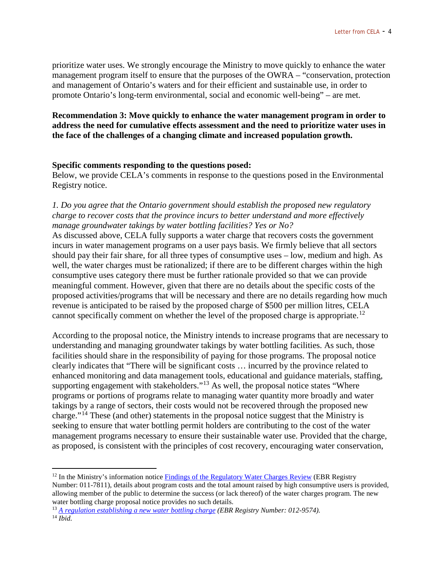prioritize water uses. We strongly encourage the Ministry to move quickly to enhance the water management program itself to ensure that the purposes of the OWRA – "conservation, protection and management of Ontario's waters and for their efficient and sustainable use, in order to promote Ontario's long-term environmental, social and economic well-being" – are met.

## **Recommendation 3: Move quickly to enhance the water management program in order to address the need for cumulative effects assessment and the need to prioritize water uses in the face of the challenges of a changing climate and increased population growth.**

#### **Specific comments responding to the questions posed:**

Below, we provide CELA's comments in response to the questions posed in the Environmental Registry notice.

## *1. Do you agree that the Ontario government should establish the proposed new regulatory charge to recover costs that the province incurs to better understand and more effectively manage groundwater takings by water bottling facilities? Yes or No?*

As discussed above, CELA fully supports a water charge that recovers costs the government incurs in water management programs on a user pays basis. We firmly believe that all sectors should pay their fair share, for all three types of consumptive uses – low, medium and high. As well, the water charges must be rationalized; if there are to be different charges within the high consumptive uses category there must be further rationale provided so that we can provide meaningful comment. However, given that there are no details about the specific costs of the proposed activities/programs that will be necessary and there are no details regarding how much revenue is anticipated to be raised by the proposed charge of \$500 per million litres, CELA cannot specifically comment on whether the level of the proposed charge is appropriate.<sup>[12](#page-3-0)</sup>

According to the proposal notice, the Ministry intends to increase programs that are necessary to understanding and managing groundwater takings by water bottling facilities. As such, those facilities should share in the responsibility of paying for those programs. The proposal notice clearly indicates that "There will be significant costs … incurred by the province related to enhanced monitoring and data management tools, educational and guidance materials, staffing, supporting engagement with stakeholders."<sup>[13](#page-3-1)</sup> As well, the proposal notice states "Where programs or portions of programs relate to managing water quantity more broadly and water takings by a range of sectors, their costs would not be recovered through the proposed new charge."[14](#page-3-2) These (and other) statements in the proposal notice suggest that the Ministry is seeking to ensure that water bottling permit holders are contributing to the cost of the water management programs necessary to ensure their sustainable water use. Provided that the charge, as proposed, is consistent with the principles of cost recovery, encouraging water conservation,

<span id="page-3-0"></span> $12$  In the Ministry's information notice [Findings of the Regulatory Water Charges Review](https://www.ebr.gov.on.ca/ERS-WEB-External/displaynoticecontent.do?noticeId=MTE4MjAw&statusId=MTc2ODc0&language=en) (EBR Registry Number: 011-7811), details about program costs and the total amount raised by high consumptive users is provided, allowing member of the public to determine the success (or lack thereof) of the water charges program. The new water bottling charge proposal notice provides no such details.

<span id="page-3-2"></span><span id="page-3-1"></span><sup>13</sup> *[A regulation establishing a new water bottling charge](https://www.ebr.gov.on.ca/ERS-WEB-External/displaynoticecontent.do?noticeId=MTMxNTQw&statusId=MTk5NDkw&language=en) (EBR Registry Number: 012-9574).* <sup>14</sup> *Ibid.*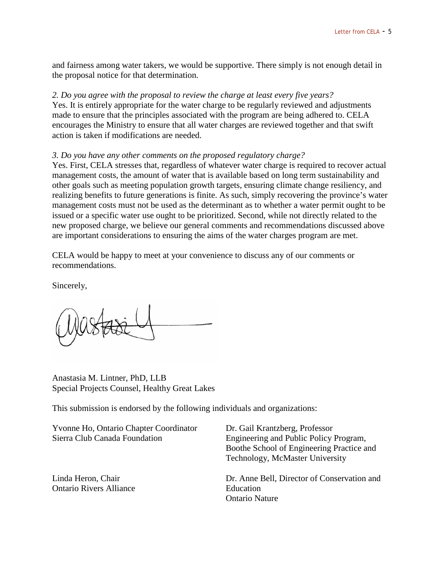and fairness among water takers, we would be supportive. There simply is not enough detail in the proposal notice for that determination.

#### *2. Do you agree with the proposal to review the charge at least every five years?*

Yes. It is entirely appropriate for the water charge to be regularly reviewed and adjustments made to ensure that the principles associated with the program are being adhered to. CELA encourages the Ministry to ensure that all water charges are reviewed together and that swift action is taken if modifications are needed.

#### *3. Do you have any other comments on the proposed regulatory charge?*

Yes. First, CELA stresses that, regardless of whatever water charge is required to recover actual management costs, the amount of water that is available based on long term sustainability and other goals such as meeting population growth targets, ensuring climate change resiliency, and realizing benefits to future generations is finite. As such, simply recovering the province's water management costs must not be used as the determinant as to whether a water permit ought to be issued or a specific water use ought to be prioritized. Second, while not directly related to the new proposed charge, we believe our general comments and recommendations discussed above are important considerations to ensuring the aims of the water charges program are met.

CELA would be happy to meet at your convenience to discuss any of our comments or recommendations.

Sincerely,

Anastasia M. Lintner, PhD, LLB Special Projects Counsel, Healthy Great Lakes

This submission is endorsed by the following individuals and organizations:

| Yvonne Ho, Ontario Chapter Coordinator<br>Sierra Club Canada Foundation | Dr. Gail Krantzberg, Professor<br>Engineering and Public Policy Program,<br>Boothe School of Engineering Practice and<br>Technology, McMaster University |
|-------------------------------------------------------------------------|----------------------------------------------------------------------------------------------------------------------------------------------------------|
| Linda Heron, Chair<br><b>Ontario Rivers Alliance</b>                    | Dr. Anne Bell, Director of Conservation and<br>Education<br><b>Ontario Nature</b>                                                                        |